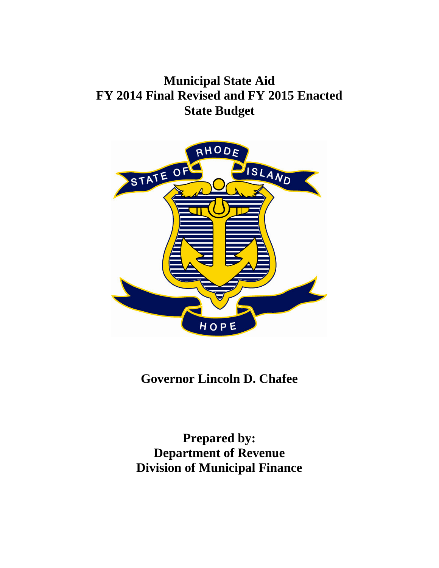## **Municipal State Aid FY 2014 Final Revised and FY 2015 Enacted State Budget**



## **Governor Lincoln D. Chafee**

**Prepared by: Department of Revenue Division of Municipal Finance**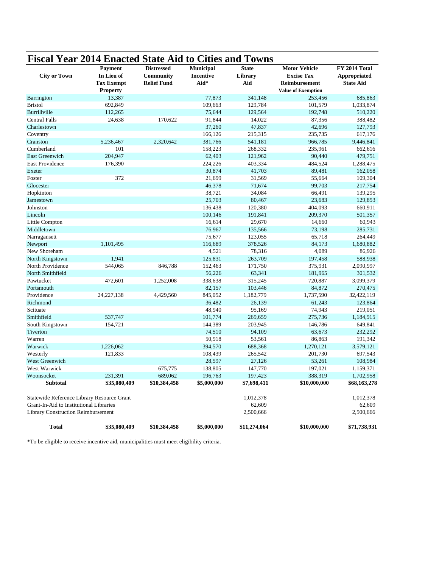|                                            | <b>Fiscal Year 2014 Enacted State Aid to Cities and Towns</b> |                    |                  |              |                           |                  |
|--------------------------------------------|---------------------------------------------------------------|--------------------|------------------|--------------|---------------------------|------------------|
|                                            | Payment                                                       | <b>Distressed</b>  | <b>Municipal</b> | <b>State</b> | <b>Motor Vehicle</b>      | FY 2014 Total    |
| <b>City or Town</b>                        | In Lieu of                                                    | Community          | <b>Incentive</b> | Library      | <b>Excise Tax</b>         | Appropriated     |
|                                            | <b>Tax Exempt</b>                                             | <b>Relief Fund</b> | Aid*             | Aid          | Reimbursement             | <b>State Aid</b> |
|                                            | <b>Property</b>                                               |                    |                  |              | <b>Value of Exemption</b> |                  |
| Barrington                                 | 13,387                                                        |                    | 77,873           | 341,148      | 253,456                   | 685,863          |
| <b>Bristol</b>                             | 692,849                                                       |                    | 109,663          | 129,784      | 101,579                   | 1,033,874        |
| Burrillville                               | 112,265                                                       |                    | 75,644           | 129,564      | 192,748                   | 510,220          |
| <b>Central Falls</b>                       | 24,638                                                        | 170,622            | 91,844           | 14,022       | 87,356                    | 388,482          |
| Charlestown                                |                                                               |                    | 37,260           | 47,837       | 42,696                    | 127,793          |
| Coventry                                   |                                                               |                    | 166,126          | 215,315      | 235,735                   | 617,176          |
| Cranston                                   | 5,236,467                                                     | 2,320,642          | 381,766          | 541,181      | 966,785                   | 9,446,841        |
| Cumberland                                 | 101                                                           |                    | 158,223          | 268,332      | 235,961                   | 662,616          |
| <b>East Greenwich</b>                      | 204,947                                                       |                    | 62,403           | 121,962      | 90,440                    | 479,751          |
| East Providence                            | 176,390                                                       |                    | 224,226          | 403,334      | 484,524                   | 1,288,475        |
| Exeter                                     |                                                               |                    | 30,874           | 41,703       | 89,481                    | 162,058          |
| Foster                                     | 372                                                           |                    | 21,699           | 31,569       | 55,664                    | 109,304          |
| Glocester                                  |                                                               |                    | 46,378           | 71,674       | 99,703                    | 217,754          |
| Hopkinton                                  |                                                               |                    | 38,721           | 34,084       | 66,491                    | 139,295          |
| Jamestown                                  |                                                               |                    | 25,703           | 80,467       | 23,683                    | 129,853          |
| Johnston                                   |                                                               |                    | 136,438          | 120,380      | 404,093                   | 660,911          |
| Lincoln                                    |                                                               |                    | 100,146          | 191,841      | 209,370                   | 501,357          |
| Little Compton                             |                                                               |                    | 16,614           | 29,670       | 14,660                    | 60,943           |
| Middletown                                 |                                                               |                    | 76,967           | 135,566      | 73,198                    | 285,731          |
| Narragansett                               |                                                               |                    | 75,677           | 123,055      | 65,718                    | 264,449          |
| Newport                                    | 1,101,495                                                     |                    | 116,689          | 378,526      | 84,173                    | 1,680,882        |
| New Shoreham                               |                                                               |                    | 4,521            | 78,316       | 4,089                     | 86,926           |
| North Kingstown                            | 1,941                                                         |                    | 125,831          | 263,709      | 197,458                   | 588,938          |
| North Providence                           | 544,065                                                       | 846,788            | 152,463          | 171,750      | 375,931                   | 2,090,997        |
| North Smithfield                           |                                                               |                    | 56,226           | 63,341       | 181,965                   | 301,532          |
| Pawtucket                                  | 472,601                                                       | 1,252,008          | 338,638          | 315,245      | 720,887                   | 3,099,379        |
| Portsmouth                                 |                                                               |                    | 82,157           | 103,446      | 84,872                    | 270,475          |
| Providence                                 | 24, 227, 138                                                  | 4,429,560          | 845,052          | 1,182,779    | 1,737,590                 | 32,422,119       |
| Richmond                                   |                                                               |                    | 36,482           | 26,139       | 61,243                    | 123,864          |
| Scituate                                   |                                                               |                    | 48,940           | 95,169       | 74,943                    | 219,051          |
| Smithfield                                 | 537,747                                                       |                    | 101,774          | 269,659      | 275,736                   | 1,184,915        |
| South Kingstown                            | 154,721                                                       |                    | 144,389          | 203,945      | 146,786                   | 649,841          |
| Tiverton                                   |                                                               |                    | 74,510           | 94,109       | 63,673                    | 232,292          |
| Warren                                     |                                                               |                    | 50,918           | 53,561       | 86,863                    | 191,342          |
| Warwick                                    | 1,226,062                                                     |                    | 394,570          | 688,368      | 1,270,121                 | 3,579,121        |
| Westerly                                   | 121,833                                                       |                    | 108,439          | 265,542      | 201,730                   | 697,543          |
| West Greenwich                             |                                                               |                    | 28,597           | 27,126       | 53,261                    | 108,984          |
| West Warwick                               |                                                               | 675,775            | 138,805          | 147,770      | 197,021                   | 1,159,371        |
| Woonsocket                                 | 231,391                                                       | 689,062            | 196,763          | 197,423      | 388,319                   | 1,702,958        |
| Subtotal                                   | \$35,080,409                                                  | \$10,384,458       | \$5,000,000      | \$7,698,411  | \$10,000,000              | \$68,163,278     |
| Statewide Reference Library Resource Grant |                                                               |                    |                  | 1,012,378    |                           | 1,012,378        |
| Grant-In-Aid to Institutional Libraries    |                                                               |                    |                  | 62,609       |                           | 62,609           |
| Library Construction Reimbursement         |                                                               |                    |                  | 2,500,666    |                           | 2,500,666        |
| <b>Total</b>                               | \$35,080,409                                                  | \$10,384,458       | \$5,000,000      | \$11,274,064 | \$10,000,000              | \$71,738,931     |

\*To be eligible to receive incentive aid, municipalities must meet eligibility criteria.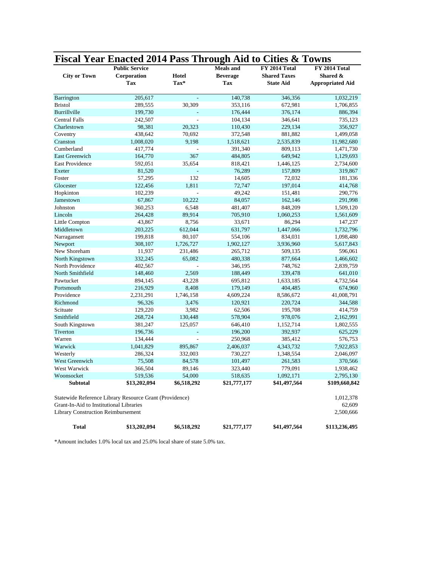|                                           | Fiscal Year Enacted 2014 Pass Through Aid to Cities & Towns<br><b>Public Service</b> |             | <b>Meals</b> and | FY 2014 Total       | FY 2014 Total           |
|-------------------------------------------|--------------------------------------------------------------------------------------|-------------|------------------|---------------------|-------------------------|
| <b>City or Town</b>                       | Corporation                                                                          | Hotel       | <b>Beverage</b>  | <b>Shared Taxes</b> | Shared &                |
|                                           | <b>Tax</b>                                                                           | Tax*        | Tax              | <b>State Aid</b>    | <b>Appropriated Aid</b> |
| Barrington                                | 205,617                                                                              | ÷           | 140,738          | 346,356             | 1,032,219               |
| <b>Bristol</b>                            | 289,555                                                                              | 30,309      | 353,116          | 672,981             | 1,706,855               |
| Burrillville                              | 199,730                                                                              |             | 176,444          | 376,174             | 886,394                 |
| <b>Central Falls</b>                      | 242,507                                                                              |             | 104,134          | 346,641             | 735,123                 |
| Charlestown                               | 98,381                                                                               | 20,323      | 110,430          | 229,134             | 356,927                 |
| Coventry                                  | 438,642                                                                              | 70,692      | 372,548          | 881,882             | 1,499,058               |
| Cranston                                  | 1,008,020                                                                            | 9,198       | 1,518,621        | 2,535,839           | 11,982,680              |
| Cumberland                                | 417,774                                                                              |             | 391,340          | 809,113             | 1,471,730               |
| East Greenwich                            | 164,770                                                                              | 367         | 484,805          | 649,942             | 1,129,693               |
| <b>East Providence</b>                    | 592,051                                                                              | 35,654      | 818,421          | 1,446,125           | 2,734,600               |
| Exeter                                    | 81,520                                                                               | L,          | 76,289           | 157,809             | 319,867                 |
| Foster                                    | 57,295                                                                               | 132         | 14,605           | 72,032              | 181,336                 |
| Glocester                                 | 122,456                                                                              | 1,811       | 72,747           | 197,014             | 414,768                 |
| Hopkinton                                 | 102,239                                                                              |             | 49,242           | 151,481             | 290,776                 |
| Jamestown                                 | 67,867                                                                               | 10,222      | 84,057           | 162,146             | 291,998                 |
| Johnston                                  | 360,253                                                                              | 6,548       | 481,407          | 848,209             | 1,509,120               |
| Lincoln                                   | 264,428                                                                              | 89,914      | 705,910          | 1,060,253           | 1,561,609               |
| Little Compton                            | 43,867                                                                               | 8,756       | 33,671           | 86,294              | 147,237                 |
| Middletown                                | 203,225                                                                              | 612,044     | 631,797          | 1,447,066           | 1,732,796               |
| Narragansett                              | 199,818                                                                              | 80,107      | 554,106          | 834,031             | 1,098,480               |
| Newport                                   | 308,107                                                                              | 1,726,727   | 1,902,127        | 3,936,960           | 5,617,843               |
| New Shoreham                              | 11,937                                                                               | 231,486     | 265,712          | 509,135             | 596,061                 |
| North Kingstown                           | 332,245                                                                              | 65,082      | 480,338          | 877,664             | 1,466,602               |
| North Providence                          | 402,567                                                                              |             | 346,195          | 748,762             | 2,839,759               |
| North Smithfield                          | 148,460                                                                              | 2,569       | 188,449          | 339,478             | 641,010                 |
| Pawtucket                                 | 894,145                                                                              | 43,228      | 695,812          | 1,633,185           | 4,732,564               |
| Portsmouth                                | 216,929                                                                              | 8,408       | 179,149          | 404,485             | 674,960                 |
| Providence                                | 2,231,291                                                                            | 1,746,158   | 4,609,224        | 8,586,672           | 41,008,791              |
| Richmond                                  | 96,326                                                                               | 3,476       | 120,921          | 220,724             | 344,588                 |
| Scituate                                  | 129,220                                                                              | 3,982       | 62,506           | 195,708             | 414,759                 |
| Smithfield                                | 268,724                                                                              | 130,448     | 578,904          | 978,076             | 2,162,991               |
| South Kingstown                           | 381,247                                                                              | 125,057     | 646,410          | 1,152,714           | 1,802,555               |
| Tiverton                                  | 196,736                                                                              | ä,          | 196,200          | 392,937             | 625,229                 |
| Warren                                    | 134,444                                                                              | L.          | 250,968          | 385,412             | 576,753                 |
| Warwick                                   | 1,041,829                                                                            | 895,867     | 2,406,037        | 4,343,732           | 7,922,853               |
| Westerly                                  | 286,324                                                                              | 332,003     | 730,227          | 1,348,554           | 2,046,097               |
| <b>West Greenwich</b>                     | 75,508                                                                               | 84,578      | 101,497          | 261,583             | 370,566                 |
| West Warwick                              | 366,504                                                                              | 89,146      | 323,440          | 779,091             | 1,938,462               |
| Woonsocket                                | 519,536                                                                              | 54,000      | 518,635          | 1,092,171           | 2,795,130               |
| Subtotal                                  | \$13,202,094                                                                         | \$6,518,292 | \$21,777,177     | \$41,497,564        | \$109,660,842           |
|                                           | Statewide Reference Library Resource Grant (Providence)                              |             |                  |                     | 1,012,378               |
| Grant-In-Aid to Institutional Libraries   |                                                                                      |             |                  |                     | 62,609                  |
| <b>Library Construction Reimbursement</b> |                                                                                      |             |                  |                     | 2,500,666               |
| Total                                     | \$13,202,094                                                                         | \$6,518,292 | \$21,777,177     | \$41,497,564        | \$113,236,495           |

\*Amount includes 1.0% local tax and 25.0% local share of state 5.0% tax.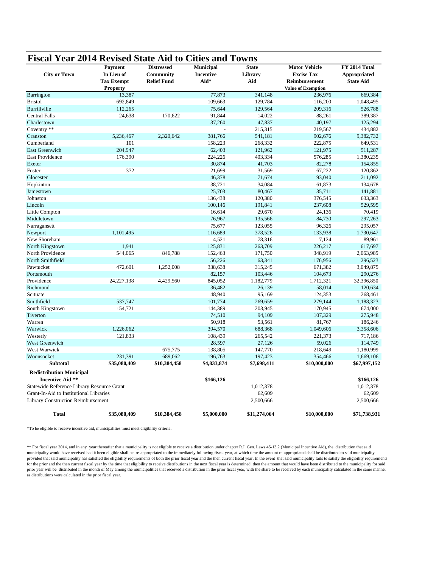|                                            | Payment           | <b>Distressed</b>  | <b>Municipal</b> | <b>State</b> | <b>Motor Vehicle</b>      | FY 2014 Total    |
|--------------------------------------------|-------------------|--------------------|------------------|--------------|---------------------------|------------------|
| <b>City or Town</b>                        | In Lieu of        | Community          | <b>Incentive</b> | Library      | <b>Excise Tax</b>         | Appropriated     |
|                                            | <b>Tax Exempt</b> | <b>Relief Fund</b> | Aid*             | Aid          | Reimbursement             | <b>State Aid</b> |
|                                            | <b>Property</b>   |                    |                  |              | <b>Value of Exemption</b> |                  |
| Barrington                                 | 13,387            |                    | 77,873           | 341,148      | 236,976                   | 669,384          |
| <b>Bristol</b>                             | 692,849           |                    | 109,663          | 129,784      | 116,200                   | 1,048,495        |
| Burrillville                               | 112,265           |                    | 75,644           | 129,564      | 209,316                   | 526,788          |
| <b>Central Falls</b>                       | 24,638            | 170,622            | 91,844           | 14,022       | 88,261                    | 389,387          |
| Charlestown                                |                   |                    | 37,260           | 47,837       | 40,197                    | 125,294          |
| Coventry **                                |                   |                    |                  | 215,315      | 219,567                   | 434,882          |
| Cranston                                   | 5.236.467         | 2,320,642          | 381,766          | 541,181      | 902,676                   | 9,382,732        |
| Cumberland                                 | 101               |                    | 158,223          | 268,332      | 222,875                   | 649,531          |
| <b>East Greenwich</b>                      | 204.947           |                    | 62,403           | 121,962      | 121,975                   | 511,287          |
| East Providence                            | 176,390           |                    | 224,226          | 403,334      | 576,285                   | 1,380,235        |
| Exeter                                     |                   |                    | 30,874           | 41,703       | 82,278                    | 154,855          |
| Foster                                     | 372               |                    | 21,699           | 31,569       | 67,222                    | 120,862          |
| Glocester                                  |                   |                    | 46,378           | 71,674       | 93,040                    | 211,092          |
| Hopkinton                                  |                   |                    | 38,721           | 34,084       | 61,873                    | 134,678          |
| Jamestown                                  |                   |                    | 25,703           | 80,467       | 35,711                    | 141,881          |
| Johnston                                   |                   |                    | 136,438          | 120,380      | 376,545                   | 633,363          |
| Lincoln                                    |                   |                    | 100,146          | 191,841      | 237,608                   | 529,595          |
| Little Compton                             |                   |                    | 16,614           | 29,670       | 24,136                    | 70,419           |
| Middletown                                 |                   |                    | 76,967           | 135,566      | 84,730                    | 297,263          |
| Narragansett                               |                   |                    | 75,677           | 123,055      | 96,326                    | 295,057          |
| Newport                                    | 1,101,495         |                    | 116,689          | 378,526      | 133,938                   | 1,730,647        |
| New Shoreham                               |                   |                    | 4,521            | 78,316       | 7,124                     | 89,961           |
| North Kingstown                            | 1,941             |                    | 125,831          | 263,709      | 226,217                   | 617,697          |
| North Providence                           | 544,065           | 846,788            | 152,463          | 171,750      | 348,919                   | 2,063,985        |
| North Smithfield                           |                   |                    | 56,226           | 63,341       | 176,956                   | 296,523          |
| Pawtucket                                  | 472,601           | 1,252,008          | 338,638          | 315,245      | 671,382                   | 3,049,875        |
| Portsmouth                                 |                   |                    | 82,157           | 103,446      | 104,673                   | 290,276          |
| Providence                                 | 24, 227, 138      | 4,429,560          | 845,052          | 1,182,779    | 1,712,321                 | 32,396,850       |
| Richmond                                   |                   |                    | 36,482           | 26,139       | 58,014                    | 120,634          |
| Scituate                                   |                   |                    | 48,940           | 95,169       | 124,353                   | 268,461          |
| Smithfield                                 | 537,747           |                    | 101,774          | 269,659      | 279,144                   | 1,188,323        |
| South Kingstown                            | 154,721           |                    | 144,389          | 203,945      | 170,945                   | 674,000          |
| Tiverton                                   |                   |                    | 74,510           | 94,109       | 107,329                   | 275,948          |
| Warren                                     |                   |                    | 50,918           | 53,561       | 81,767                    | 186,246          |
| Warwick                                    | 1,226,062         |                    | 394,570          | 688,368      | 1,049,606                 | 3,358,606        |
| Westerly                                   | 121,833           |                    | 108,439          | 265,542      | 221,373                   | 717,186          |
| West Greenwich                             |                   |                    | 28,597           | 27,126       | 59,026                    | 114,749          |
| West Warwick                               |                   | 675,775            | 138,805          | 147,770      | 218,649                   | 1,180,999        |
| Woonsocket                                 | 231,391           | 689,062            | 196,763          | 197,423      | 354,466                   | 1,669,106        |
| <b>Subtotal</b>                            | \$35,080,409      | \$10,384,458       | \$4,833,874      | \$7,698,411  | \$10,000,000              | \$67,997,152     |
| <b>Redistribution Municipal</b>            |                   |                    |                  |              |                           |                  |
| <b>Incentive Aid **</b>                    |                   |                    | \$166,126        |              |                           | \$166,126        |
| Statewide Reference Library Resource Grant |                   |                    |                  | 1,012,378    |                           | 1,012,378        |
| Grant-In-Aid to Institutional Libraries    |                   |                    |                  | 62,609       |                           | 62,609           |
| <b>Library Construction Reimbursement</b>  |                   |                    |                  | 2,500,666    |                           | 2,500,666        |
| <b>Total</b>                               | \$35,080,409      | \$10,384,458       | \$5,000,000      | \$11,274,064 | \$10,000,000              | \$71,738,931     |

\*To be eligible to receive incentive aid, municipalities must meet eligibility criteria.

\*\* For fiscal year 2014, and in any year thereafter that a municipality is not eligible to receive a distribution under chapter R.I. Gen. Laws 45-13.2 (Municipal Incentive Aid), the distribution that said municipality would have received had it been eligible shall be re-appropriated to the immediately following fiscal year, at which time the amount re-appropriated shall be distributed to said municipality provided that said municipality has satisfied the eligibility requirements of both the prior fiscal year and the then current fiscal year. In the event that said municipality fails to satisfy the eligibility requirements for the prior and the then current fiscal year by the time that eligibility to receive distributions in the next fiscal year is determined, then the amount that would have been distributed to the municipality for said prior year will be distributed in the month of May among the municipalities that received a distribution in the prior fiscal year, with the share to be received by each municipality calculated in the same manner as distributions were calculated in the prior fiscal year.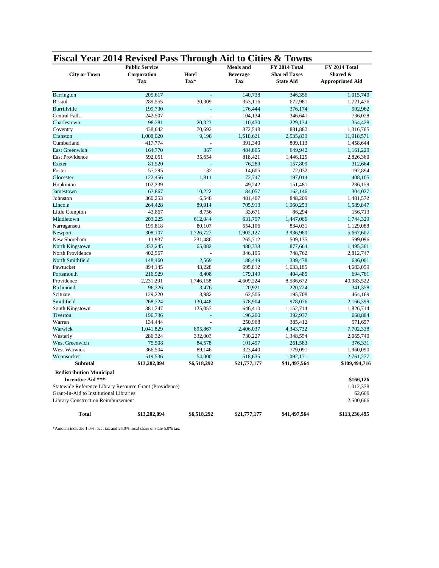| <b>City or Town</b>                                                                                    | riscal Teal 2014 Revised rass Through Ald to Clues &<br><b>Public Service</b><br>Corporation<br>Tax | Hotel<br>Tax*  | <b>Meals</b> and<br><b>Beverage</b><br>Tax | FY 2014 Total<br><b>Shared Taxes</b><br><b>State Aid</b> | FY 2014 Total<br>Shared &<br><b>Appropriated Aid</b> |
|--------------------------------------------------------------------------------------------------------|-----------------------------------------------------------------------------------------------------|----------------|--------------------------------------------|----------------------------------------------------------|------------------------------------------------------|
| Barrington                                                                                             | 205,617                                                                                             |                | 140,738                                    | 346,356                                                  | 1,015,740                                            |
| <b>Bristol</b>                                                                                         | 289,555                                                                                             | 30,309         | 353,116                                    | 672,981                                                  | 1,721,476                                            |
| Burrillville                                                                                           | 199,730                                                                                             |                | 176,444                                    | 376,174                                                  | 902,962                                              |
| <b>Central Falls</b>                                                                                   | 242,507                                                                                             |                | 104,134                                    | 346,641                                                  | 736,028                                              |
| Charlestown                                                                                            | 98,381                                                                                              | 20,323         | 110,430                                    | 229,134                                                  | 354,428                                              |
| Coventry                                                                                               | 438,642                                                                                             | 70,692         | 372,548                                    | 881,882                                                  | 1,316,765                                            |
| Cranston                                                                                               | 1,008,020                                                                                           | 9,198          | 1,518,621                                  | 2,535,839                                                | 11,918,571                                           |
| Cumberland                                                                                             | 417,774                                                                                             |                | 391,340                                    | 809,113                                                  | 1,458,644                                            |
| <b>East Greenwich</b>                                                                                  | 164,770                                                                                             | 367            | 484,805                                    | 649,942                                                  | 1,161,229                                            |
| <b>East Providence</b>                                                                                 | 592,051                                                                                             | 35,654         | 818,421                                    | 1,446,125                                                | 2,826,360                                            |
| Exeter                                                                                                 | 81,520                                                                                              |                | 76,289                                     | 157,809                                                  | 312,664                                              |
| Foster                                                                                                 | 57,295                                                                                              | 132            | 14,605                                     | 72,032                                                   | 192,894                                              |
| Glocester                                                                                              | 122,456                                                                                             | 1,811          | 72,747                                     | 197,014                                                  | 408,105                                              |
| Hopkinton                                                                                              | 102,239                                                                                             | $\overline{a}$ | 49,242                                     | 151,481                                                  | 286,159                                              |
| Jamestown                                                                                              | 67,867                                                                                              | 10,222         | 84,057                                     | 162,146                                                  | 304,027                                              |
| Johnston                                                                                               | 360,253                                                                                             | 6,548          | 481,407                                    | 848,209                                                  | 1,481,572                                            |
| Lincoln                                                                                                | 264,428                                                                                             | 89,914         | 705,910                                    | 1,060,253                                                | 1,589,847                                            |
| Little Compton                                                                                         | 43,867                                                                                              | 8,756          | 33,671                                     | 86,294                                                   | 156,713                                              |
| Middletown                                                                                             | 203,225                                                                                             | 612,044        | 631,797                                    | 1,447,066                                                | 1,744,329                                            |
| Narragansett                                                                                           | 199,818                                                                                             | 80,107         | 554,106                                    | 834,031                                                  | 1,129,088                                            |
| Newport                                                                                                | 308,107                                                                                             | 1,726,727      | 1,902,127                                  | 3,936,960                                                | 5,667,607                                            |
| New Shoreham                                                                                           | 11,937                                                                                              | 231,486        | 265,712                                    | 509,135                                                  | 599,096                                              |
| North Kingstown                                                                                        | 332,245                                                                                             | 65,082         | 480,338                                    | 877,664                                                  | 1,495,361                                            |
| North Providence                                                                                       | 402,567                                                                                             |                | 346,195                                    | 748,762                                                  | 2,812,747                                            |
| North Smithfield                                                                                       | 148,460                                                                                             | 2,569          | 188,449                                    | 339,478                                                  | 636,001                                              |
| Pawtucket                                                                                              | 894,145                                                                                             | 43,228         | 695,812                                    | 1,633,185                                                | 4,683,059                                            |
| Portsmouth                                                                                             | 216,929                                                                                             | 8,408          | 179,149                                    | 404,485                                                  | 694,761                                              |
| Providence                                                                                             | 2,231,291                                                                                           | 1,746,158      | 4,609,224                                  | 8,586,672                                                | 40,983,522                                           |
| Richmond                                                                                               | 96,326                                                                                              | 3,476          | 120,921                                    | 220,724                                                  | 341,358                                              |
| Scituate                                                                                               | 129,220                                                                                             | 3,982          | 62,506                                     | 195,708                                                  | 464,169                                              |
| Smithfield                                                                                             | 268,724                                                                                             | 130,448        | 578,904                                    | 978,076                                                  | 2,166,399                                            |
| South Kingstown                                                                                        | 381,247                                                                                             | 125,057        | 646,410                                    | 1,152,714                                                | 1,826,714                                            |
| Tiverton                                                                                               | 196,736                                                                                             |                | 196,200                                    | 392,937                                                  | 668,884                                              |
| Warren                                                                                                 | 134,444                                                                                             |                | 250,968                                    | 385,412                                                  | 571,657                                              |
| Warwick                                                                                                | 1,041,829                                                                                           | 895,867        | 2,406,037                                  | 4,343,732                                                | 7,702,338                                            |
| Westerly                                                                                               | 286,324                                                                                             | 332,003        | 730,227                                    | 1,348,554                                                | 2,065,740                                            |
| West Greenwich                                                                                         | 75,508                                                                                              | 84,578         | 101,497                                    | 261,583                                                  | 376,331                                              |
| West Warwick                                                                                           | 366,504                                                                                             | 89,146         | 323,440                                    | 779,091                                                  | 1,960,090                                            |
| Woonsocket                                                                                             | 519,536                                                                                             | 54,000         | 518,635                                    | 1,092,171                                                | 2,761,277                                            |
| <b>Subtotal</b>                                                                                        | \$13,202,094                                                                                        | \$6,518,292    | \$21,777,177                               | \$41,497,564                                             | \$109,494,716                                        |
| <b>Redistribution Municipal</b><br><b>Incentive Aid ***</b><br>Grant-In-Aid to Institutional Libraries | Statewide Reference Library Resource Grant (Providence)                                             |                |                                            |                                                          | \$166,126<br>1,012,378<br>62,609                     |
| Library Construction Reimbursement<br><b>Total</b>                                                     | \$13,202,094                                                                                        | \$6,518,292    | \$21,777,177                               | \$41,497,564                                             | 2,500,666                                            |
|                                                                                                        |                                                                                                     |                |                                            |                                                          | \$113,236,495                                        |

**Fiscal Year 2014 Revised Pass Through Aid to Cities & Towns**

\*Amount includes 1.0% local tax and 25.0% local share of state 5.0% tax.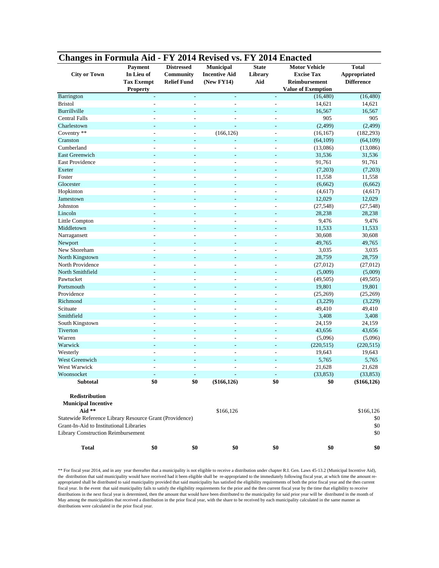| Changes in Formula Aid - FY 2014 Revised vs. FY 2014 Enacted |                   |                    |                          |                          | <b>Motor Vehicle</b>      |                     |
|--------------------------------------------------------------|-------------------|--------------------|--------------------------|--------------------------|---------------------------|---------------------|
|                                                              | Payment           | <b>Distressed</b>  | Municipal                | <b>State</b>             |                           | <b>Total</b>        |
| <b>City or Town</b>                                          | In Lieu of        | <b>Community</b>   | <b>Incentive Aid</b>     | Library                  | <b>Excise Tax</b>         | <b>Appropriated</b> |
|                                                              | <b>Tax Exempt</b> | <b>Relief Fund</b> | (New FY14)               | Aid                      | Reimbursement             | <b>Difference</b>   |
|                                                              | <b>Property</b>   |                    |                          |                          | <b>Value of Exemption</b> |                     |
| Barrington                                                   |                   |                    |                          | ÷,                       | (16, 480)                 | (16, 480)           |
| <b>Bristol</b>                                               |                   |                    |                          | L,                       | 14,621                    | 14,621              |
| Burrillville                                                 | ø                 |                    |                          | $\overline{a}$           | 16,567                    | 16,567              |
| <b>Central Falls</b>                                         |                   | ÷                  |                          |                          | 905                       | 905                 |
| Charlestown                                                  |                   | ٠                  | ä,                       | ÷,                       | (2, 499)                  | (2, 499)            |
| Coventry **                                                  |                   | ÷,                 | (166, 126)               | L,                       | (16, 167)                 | (182, 293)          |
| Cranston                                                     |                   | L,                 | L,                       |                          | (64, 109)                 | (64, 109)           |
| Cumberland                                                   |                   | ÷,                 |                          |                          | (13,086)                  | (13,086)            |
| <b>East Greenwich</b>                                        |                   |                    |                          |                          | 31,536                    | 31,536              |
| <b>East Providence</b>                                       |                   | ÷                  |                          | L,                       | 91,761                    | 91,761              |
| Exeter                                                       |                   |                    |                          |                          | (7,203)                   | (7,203)             |
| Foster                                                       |                   |                    |                          |                          | 11,558                    | 11,558              |
| Glocester                                                    |                   | ٠                  |                          |                          | (6,662)                   | (6,662)             |
| Hopkinton                                                    |                   | ÷                  | ٠                        |                          | (4,617)                   | (4,617)             |
| Jamestown                                                    |                   | ٠                  | ÷                        | ÷,                       | 12,029                    | 12,029              |
| Johnston                                                     | L,                | ÷,                 | $\overline{a}$           | L,                       | (27, 548)                 | (27, 548)           |
| Lincoln                                                      |                   |                    |                          |                          | 28,238                    | 28,238              |
| Little Compton                                               |                   |                    |                          |                          | 9,476                     | 9,476               |
| Middletown                                                   |                   |                    |                          |                          | 11,533                    | 11,533              |
| Narragansett                                                 |                   |                    |                          |                          | 30,608                    | 30,608              |
| Newport                                                      |                   |                    |                          |                          | 49,765                    | 49,765              |
| New Shoreham                                                 |                   |                    | $\overline{a}$           |                          | 3,035                     | 3,035               |
| North Kingstown                                              |                   |                    |                          |                          | 28,759                    | 28,759              |
| North Providence                                             | ÷,                | ÷                  | ٠                        | ÷,                       | (27, 012)                 | (27, 012)           |
| North Smithfield                                             |                   | ٠                  |                          |                          | (5,009)                   | (5,009)             |
| Pawtucket                                                    |                   | L,                 |                          |                          | (49, 505)                 | (49, 505)           |
| Portsmouth                                                   |                   |                    |                          |                          | 19,801                    | 19,801              |
| Providence                                                   |                   |                    |                          |                          | (25,269)                  | (25,269)            |
| Richmond                                                     |                   |                    |                          |                          | (3,229)                   | (3,229)             |
| Scituate                                                     |                   |                    |                          | ÷,                       | 49,410                    | 49,410              |
| Smithfield                                                   |                   |                    |                          |                          | 3,408                     | 3,408               |
| South Kingstown                                              |                   |                    |                          |                          | 24,159                    | 24,159              |
| Tiverton                                                     | ÷,                | ٠                  | ÷                        | $\overline{\phantom{a}}$ | 43,656                    | 43,656              |
| Warren                                                       | ÷,                | ÷                  | L.                       | L,                       |                           | (5,096)             |
|                                                              |                   |                    |                          |                          | (5,096)                   |                     |
| Warwick                                                      | ÷,                | ٠                  | $\overline{\phantom{a}}$ | $\overline{\phantom{a}}$ | (220, 515)                | (220, 515)          |
| Westerly                                                     |                   | L,                 | $\overline{a}$           | L,                       | 19,643                    | 19,643              |
| <b>West Greenwich</b>                                        |                   |                    |                          |                          | 5,765                     | 5,765               |
| West Warwick                                                 |                   |                    |                          |                          | 21,628                    | 21,628              |
| Woonsocket                                                   |                   |                    |                          |                          | (33, 853)                 | (33, 853)           |
| Subtotal                                                     | \$0               | \$0                | $(\$166, 126)$           | \$0                      | \$0                       | $(\$166, 126)$      |
| Redistribution                                               |                   |                    |                          |                          |                           |                     |
| <b>Municipal Incentive</b>                                   |                   |                    |                          |                          |                           |                     |
| Aid **                                                       |                   |                    | \$166,126                |                          |                           | \$166,126           |
| Statewide Reference Library Resource Grant (Providence)      |                   |                    |                          |                          |                           | \$0                 |
| Grant-In-Aid to Institutional Libraries                      |                   |                    |                          |                          |                           | \$0                 |
| <b>Library Construction Reimbursement</b>                    |                   |                    |                          |                          |                           | \$0                 |
| <b>Total</b>                                                 | \$0               | \$0                | \$0                      | \$0                      | \$0                       | \$0                 |

\*\* For fiscal year 2014, and in any year thereafter that a municipality is not eligible to receive a distribution under chapter R.I. Gen. Laws 45-13.2 (Municipal Incentive Aid), the distribution that said municipality would have received had it been eligible shall be re-appropriated to the immediately following fiscal year, at which time the amount reappropriated shall be distributed to said municipality provided that said municipality has satisfied the eligibility requirements of both the prior fiscal year and the then current fiscal year. In the event that said municipality fails to satisfy the eligibility requirements for the prior and the then current fiscal year by the time that eligibility to receive distributions in the next fiscal year is determined, then the amount that would have been distributed to the municipality for said prior year will be distributed in the month of May among the municipalities that received a distribution in the prior fiscal year, with the share to be received by each municipality calculated in the same manner as distributions were calculated in the prior fiscal year.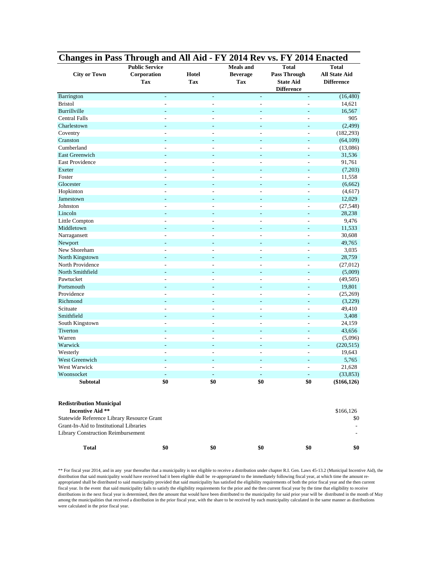| Changes in Pass Through and All Aid - FY 2014 Rev vs. FY 2014 Enacted |                                                    |                          |                                            |                                                                              |                                                           |  |  |
|-----------------------------------------------------------------------|----------------------------------------------------|--------------------------|--------------------------------------------|------------------------------------------------------------------------------|-----------------------------------------------------------|--|--|
| <b>City or Town</b>                                                   | <b>Public Service</b><br>Corporation<br><b>Tax</b> | Hotel<br>Tax             | <b>Meals</b> and<br><b>Beverage</b><br>Tax | <b>Total</b><br><b>Pass Through</b><br><b>State Aid</b><br><b>Difference</b> | <b>Total</b><br><b>All State Aid</b><br><b>Difference</b> |  |  |
| Barrington                                                            | $\frac{1}{2}$                                      | ÷,                       | $\overline{\phantom{a}}$                   | $\overline{\phantom{a}}$                                                     | (16, 480)                                                 |  |  |
| <b>Bristol</b>                                                        | $\overline{a}$                                     | $\overline{a}$           | $\overline{\phantom{a}}$                   | $\overline{\phantom{a}}$                                                     | 14,621                                                    |  |  |
| Burrillville                                                          | $\overline{a}$                                     | $\overline{\phantom{a}}$ | ٠                                          | $\overline{a}$                                                               | 16,567                                                    |  |  |
| <b>Central Falls</b>                                                  | ÷,                                                 | $\overline{\phantom{a}}$ | $\sim$                                     | $\sim$                                                                       | 905                                                       |  |  |
| Charlestown                                                           | ÷,                                                 | $\overline{\phantom{a}}$ | ٠                                          | $\sim$                                                                       | (2,499)                                                   |  |  |
| Coventry                                                              | L,                                                 | L,                       | ÷,                                         | $\sim$                                                                       | (182, 293)                                                |  |  |
| Cranston                                                              |                                                    |                          |                                            |                                                                              | (64,109)                                                  |  |  |
| Cumberland                                                            | ÷,                                                 | ÷,                       | ÷,                                         | $\overline{a}$                                                               | (13,086)                                                  |  |  |
| East Greenwich                                                        | ۰                                                  | ٠                        | ٠                                          | ٠                                                                            | 31,536                                                    |  |  |
| East Providence                                                       | ÷,                                                 | ÷,                       | ÷,                                         | $\overline{a}$                                                               | 91,761                                                    |  |  |
| Exeter                                                                | ÷,                                                 | $\overline{\phantom{a}}$ | ÷,                                         | $\sim$                                                                       | (7,203)                                                   |  |  |
| Foster                                                                |                                                    |                          | ÷,                                         | $\qquad \qquad \blacksquare$                                                 | 11,558                                                    |  |  |
| Glocester                                                             | ÷                                                  | $\overline{\phantom{a}}$ | ٠                                          | $\overline{\phantom{a}}$                                                     | (6,662)                                                   |  |  |
| Hopkinton                                                             | ÷,                                                 | $\overline{a}$           | ÷,                                         | $\overline{\phantom{a}}$                                                     | (4,617)                                                   |  |  |
| Jamestown                                                             | ٠                                                  | $\sim$                   | ٠                                          | $\sim$                                                                       | 12,029                                                    |  |  |
| Johnston                                                              | L,                                                 | $\overline{a}$           | $\overline{a}$                             | $\overline{\phantom{a}}$                                                     | (27, 548)                                                 |  |  |
| Lincoln                                                               |                                                    |                          |                                            |                                                                              | 28,238                                                    |  |  |
| Little Compton                                                        | L,                                                 | ÷,                       | $\overline{\phantom{a}}$                   | $\overline{a}$                                                               | 9,476                                                     |  |  |
| Middletown                                                            |                                                    |                          | ٠                                          | ٠                                                                            | 11,533                                                    |  |  |
| Narragansett                                                          |                                                    |                          |                                            | ÷                                                                            | 30,608                                                    |  |  |
| Newport                                                               |                                                    | $\overline{\phantom{a}}$ | ÷,                                         | $\sim$                                                                       | 49,765                                                    |  |  |
| New Shoreham                                                          |                                                    | $\overline{a}$           | ÷                                          | $\overline{a}$                                                               | 3,035                                                     |  |  |
| North Kingstown                                                       | ٠                                                  | $\overline{\phantom{a}}$ | ٠                                          | ٠                                                                            | 28,759                                                    |  |  |
| North Providence                                                      | ÷,                                                 | $\overline{a}$           | $\overline{a}$                             | $\overline{\phantom{a}}$                                                     | (27,012)                                                  |  |  |
| North Smithfield                                                      | ÷,                                                 | $\overline{\phantom{a}}$ | ٠                                          | $\sim$                                                                       | (5,009)                                                   |  |  |
| Pawtucket                                                             | L,                                                 | L,                       | ÷,                                         | $\overline{\phantom{a}}$                                                     | (49, 505)                                                 |  |  |
| Portsmouth                                                            |                                                    |                          |                                            |                                                                              | 19,801                                                    |  |  |
| Providence                                                            | ÷,                                                 | ÷,                       | ÷                                          | $\overline{a}$                                                               | (25,269)                                                  |  |  |
| Richmond                                                              | $\overline{a}$                                     | ٠                        | ٠                                          | ٠                                                                            | (3,229)                                                   |  |  |
| Scituate                                                              | ÷,                                                 | ÷,                       | ÷,                                         | $\overline{a}$                                                               | 49,410                                                    |  |  |
| Smithfield                                                            |                                                    | $\overline{\phantom{a}}$ | ÷,                                         | $\sim$                                                                       | 3,408                                                     |  |  |
| South Kingstown                                                       |                                                    |                          | ÷,                                         | $\qquad \qquad \blacksquare$                                                 | 24,159                                                    |  |  |
| Tiverton                                                              | ÷,                                                 | $\overline{a}$           | ٠                                          | $\overline{\phantom{a}}$                                                     | 43,656                                                    |  |  |
| Warren                                                                | ÷,                                                 | $\overline{\phantom{a}}$ | $\overline{\phantom{a}}$                   | $\overline{\phantom{a}}$                                                     | (5,096)                                                   |  |  |
| Warwick                                                               | $\overline{\phantom{a}}$                           | $\overline{\phantom{a}}$ | $\sim$                                     | ٠                                                                            | (220, 515)                                                |  |  |
| Westerly                                                              | L,                                                 | ÷,                       | ÷,                                         | ÷,                                                                           | 19,643                                                    |  |  |
| West Greenwich                                                        |                                                    |                          |                                            |                                                                              | 5,765                                                     |  |  |
| West Warwick                                                          |                                                    |                          | ÷,                                         | $\sim$                                                                       | 21,628                                                    |  |  |
| Woonsocket                                                            |                                                    |                          |                                            |                                                                              | (33, 853)                                                 |  |  |
| Subtotal                                                              | \$0                                                | \$0                      | \$0                                        | \$0                                                                          | $(\$166, 126)$                                            |  |  |
| <b>Redistribution Municipal</b><br><b>Incentive Aid **</b>            |                                                    |                          |                                            |                                                                              | \$166,126                                                 |  |  |
| Statewide Reference Library Resource Grant                            |                                                    |                          |                                            |                                                                              | \$0                                                       |  |  |
| Grant-In-Aid to Institutional Libraries                               |                                                    |                          |                                            |                                                                              |                                                           |  |  |
| <b>Library Construction Reimbursement</b>                             |                                                    |                          |                                            |                                                                              |                                                           |  |  |
| <b>Total</b>                                                          | \$0                                                | \$0                      | \$0                                        | \$0                                                                          | \$0                                                       |  |  |

\*\* For fiscal year 2014, and in any year thereafter that a municipality is not eligible to receive a distribution under chapter R.I. Gen. Laws 45-13.2 (Municipal Incentive Aid), the distribution that said municipality would have received had it been eligible shall be re-appropriated to the immediately following fiscal year, at which time the amount reappropriated shall be distributed to said municipality provided that said municipality has satisfied the eligibility requirements of both the prior fiscal year and the then current fiscal year. In the event that said municipality fails to satisfy the eligibility requirements for the prior and the then current fiscal year by the time that eligibility to receive distributions in the next fiscal year is determined, then the amount that would have been distributed to the municipality for said prior year will be distributed in the month of May among the municipalities that received a distribution in the prior fiscal year, with the share to be received by each municipality calculated in the same manner as distributions were calculated in the prior fiscal year.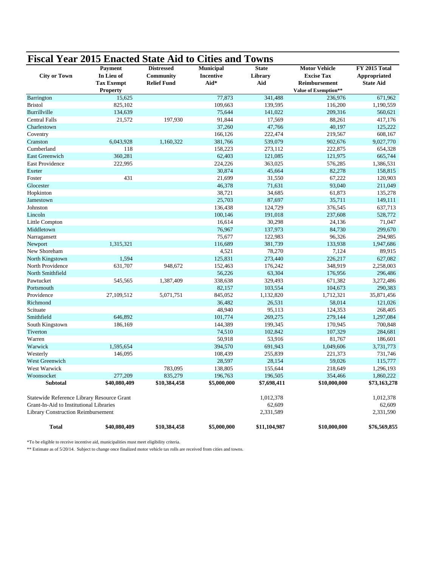| <b>Fiscal Year 2015 Enacted State Aid to Cities and Towns</b> |                   |                    |                  |              |                      |                  |
|---------------------------------------------------------------|-------------------|--------------------|------------------|--------------|----------------------|------------------|
|                                                               | Payment           | <b>Distressed</b>  | Municipal        | <b>State</b> | <b>Motor Vehicle</b> | FY 2015 Total    |
| <b>City or Town</b>                                           | In Lieu of        | Community          | <b>Incentive</b> | Library      | <b>Excise Tax</b>    | Appropriated     |
|                                                               | <b>Tax Exempt</b> | <b>Relief Fund</b> | Aid*             | Aid          | Reimbursement        | <b>State Aid</b> |
|                                                               | <b>Property</b>   |                    |                  |              | Value of Exemption** |                  |
| Barrington                                                    | 15,625            |                    | 77,873           | 341,488      | 236,976              | 671,962          |
| <b>Bristol</b>                                                | 825,102           |                    | 109,663          | 139,595      | 116,200              | 1,190,559        |
| Burrillville                                                  | 134,639           |                    | 75,644           | 141,022      | 209,316              | 560,621          |
| <b>Central Falls</b>                                          | 21,572            | 197,930            | 91,844           | 17,569       | 88,261               | 417,176          |
| Charlestown                                                   |                   |                    | 37,260           | 47,766       | 40,197               | 125,222          |
| Coventry                                                      |                   |                    | 166,126          | 222,474      | 219,567              | 608,167          |
| Cranston                                                      | 6,043,928         | 1,160,322          | 381,766          | 539,079      | 902,676              | 9,027,770        |
| Cumberland                                                    | 118               |                    | 158,223          | 273,112      | 222,875              | 654,328          |
| East Greenwich                                                | 360,281           |                    | 62,403           | 121,085      | 121,975              | 665,744          |
| East Providence                                               | 222,995           |                    | 224,226          | 363,025      | 576,285              | 1,386,531        |
| Exeter                                                        |                   |                    | 30,874           | 45,664       | 82,278               | 158,815          |
| Foster                                                        | 431               |                    | 21,699           | 31,550       | 67,222               | 120,903          |
| Glocester                                                     |                   |                    | 46,378           | 71,631       | 93,040               | 211,049          |
| Hopkinton                                                     |                   |                    | 38,721           | 34,685       | 61,873               | 135,278          |
| Jamestown                                                     |                   |                    | 25,703           | 87,697       | 35,711               | 149,111          |
| Johnston                                                      |                   |                    | 136,438          | 124,729      | 376,545              | 637,713          |
| Lincoln                                                       |                   |                    | 100,146          | 191,018      | 237,608              | 528,772          |
| Little Compton                                                |                   |                    | 16,614           | 30,298       | 24,136               | 71,047           |
| Middletown                                                    |                   |                    | 76,967           | 137,973      | 84,730               | 299,670          |
| Narragansett                                                  |                   |                    | 75,677           | 122,983      | 96,326               | 294,985          |
| Newport                                                       | 1,315,321         |                    | 116,689          | 381,739      | 133,938              | 1,947,686        |
| New Shoreham                                                  |                   |                    | 4,521            | 78,270       | 7,124                | 89,915           |
| North Kingstown                                               | 1,594             |                    | 125,831          | 273,440      | 226,217              | 627,082          |
| North Providence                                              | 631,707           | 948,672            | 152,463          | 176,242      | 348,919              | 2,258,003        |
| North Smithfield                                              |                   |                    | 56,226           | 63,304       | 176,956              | 296,486          |
| Pawtucket                                                     | 545,565           | 1,387,409          | 338,638          | 329,493      | 671,382              | 3,272,486        |
| Portsmouth                                                    |                   |                    | 82,157           | 103,554      | 104,673              | 290,383          |
| Providence                                                    | 27,109,512        | 5,071,751          | 845,052          | 1,132,820    | 1,712,321            | 35,871,456       |
| Richmond                                                      |                   |                    | 36,482           | 26,531       | 58,014               | 121,026          |
| Scituate                                                      |                   |                    | 48,940           | 95,113       | 124,353              | 268,405          |
| Smithfield                                                    | 646,892           |                    | 101,774          | 269,275      | 279,144              | 1,297,084        |
| South Kingstown                                               | 186,169           |                    | 144,389          | 199,345      | 170,945              | 700,848          |
| Tiverton                                                      |                   |                    | 74,510           | 102,842      | 107,329              | 284,681          |
| Warren                                                        |                   |                    | 50,918           | 53,916       | 81,767               | 186,601          |
| Warwick                                                       | 1,595,654         |                    | 394,570          | 691,943      | 1,049,606            | 3,731,773        |
| Westerly                                                      | 146,095           |                    | 108,439          | 255,839      | 221,373              | 731,746          |
| West Greenwich                                                |                   |                    | 28,597           | 28,154       | 59,026               | 115,777          |
| <b>West Warwick</b>                                           |                   | 783,095            | 138,805          | 155,644      | 218,649              | 1,296,193        |
| Woonsocket                                                    | 277,209           | 835,279            | 196,763          | 196,505      | 354,466              | 1,860,222        |
| <b>Subtotal</b>                                               | \$40,080,409      | \$10,384,458       | \$5,000,000      | \$7,698,411  | \$10,000,000         | \$73,163,278     |
| Statewide Reference Library Resource Grant                    |                   |                    |                  | 1,012,378    |                      | 1,012,378        |
| Grant-In-Aid to Institutional Libraries                       |                   |                    |                  | 62,609       |                      | 62,609           |
| Library Construction Reimbursement                            |                   |                    |                  | 2,331,589    |                      | 2,331,590        |
| <b>Total</b>                                                  | \$40,080,409      | \$10,384,458       | \$5,000,000      | \$11,104,987 | \$10,000,000         | \$76,569,855     |

\*To be eligible to receive incentive aid, municipalities must meet eligibility criteria.

\*\* Estimate as of 5/20/14. Subject to change once finalized motor vehicle tax rolls are received from cities and towns.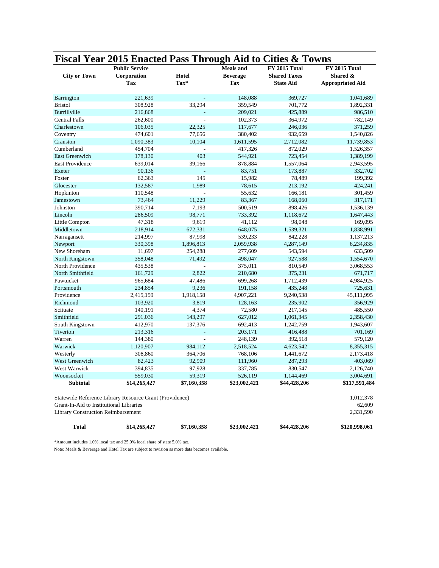| <b>City or Town</b>                       | <b>Public Service</b><br>Corporation<br>Tax             | Hotel<br>Tax* | <b>Meals</b> and<br><b>Beverage</b><br>Tax | <b>FY 2015 Total</b><br><b>Shared Taxes</b><br><b>State Aid</b> | <b>FY 2015 Total</b><br>Shared &<br><b>Appropriated Aid</b> |
|-------------------------------------------|---------------------------------------------------------|---------------|--------------------------------------------|-----------------------------------------------------------------|-------------------------------------------------------------|
|                                           |                                                         |               |                                            |                                                                 |                                                             |
| Barrington                                | 221,639                                                 |               | 148,088                                    | 369,727                                                         | 1,041,689                                                   |
| <b>Bristol</b>                            | 308,928                                                 | 33,294        | 359,549                                    | 701,772                                                         | 1,892,331                                                   |
| Burrillville                              | 216,868                                                 |               | 209,021                                    | 425,889                                                         | 986,510                                                     |
| Central Falls                             | 262,600                                                 | ÷.            | 102,373                                    | 364,972                                                         | 782,149                                                     |
| Charlestown                               | 106,035                                                 | 22,325        | 117,677                                    | 246,036                                                         | 371,259                                                     |
| Coventry                                  | 474,601                                                 | 77,656        | 380,402                                    | 932,659                                                         | 1,540,826                                                   |
| Cranston                                  | 1,090,383                                               | 10,104        | 1,611,595                                  | 2,712,082                                                       | 11,739,853                                                  |
| Cumberland                                | 454,704                                                 |               | 417,326                                    | 872,029                                                         | 1,526,357                                                   |
| <b>East Greenwich</b>                     | 178,130                                                 | 403           | 544,921                                    | 723,454                                                         | 1,389,199                                                   |
| <b>East Providence</b>                    | 639,014                                                 | 39,166        | 878,884                                    | 1,557,064                                                       | 2,943,595                                                   |
| Exeter                                    | 90,136                                                  |               | 83,751                                     | 173,887                                                         | 332,702                                                     |
| Foster                                    | 62,363                                                  | 145           | 15,982                                     | 78,489                                                          | 199,392                                                     |
| Glocester                                 | 132,587                                                 | 1,989         | 78,615                                     | 213,192                                                         | 424,241                                                     |
| Hopkinton                                 | 110,548                                                 |               | 55,632                                     | 166,181                                                         | 301,459                                                     |
| Jamestown                                 | 73,464                                                  | 11,229        | 83,367                                     | 168,060                                                         | 317,171                                                     |
| Johnston                                  | 390,714                                                 | 7,193         | 500,519                                    | 898,426                                                         | 1,536,139                                                   |
| Lincoln                                   | 286,509                                                 | 98,771        | 733,392                                    | 1,118,672                                                       | 1,647,443                                                   |
| Little Compton                            | 47,318                                                  | 9,619         | 41,112                                     | 98,048                                                          | 169,095                                                     |
| Middletown                                | 218,914                                                 | 672,331       | 648,075                                    | 1,539,321                                                       | 1,838,991                                                   |
| Narragansett                              | 214,997                                                 | 87,998        | 539,233                                    | 842,228                                                         | 1,137,213                                                   |
| Newport                                   | 330,398                                                 | 1,896,813     | 2,059,938                                  | 4,287,149                                                       | 6,234,835                                                   |
| New Shoreham                              | 11,697                                                  | 254,288       | 277,609                                    | 543,594                                                         | 633,509                                                     |
| North Kingstown                           | 358,048                                                 | 71,492        | 498,047                                    | 927,588                                                         | 1,554,670                                                   |
| North Providence                          | 435,538                                                 |               | 375,011                                    | 810,549                                                         | 3,068,553                                                   |
| North Smithfield                          | 161,729                                                 | 2,822         | 210,680                                    | 375,231                                                         | 671,717                                                     |
| Pawtucket                                 | 965,684                                                 | 47,486        | 699,268                                    | 1,712,439                                                       | 4,984,925                                                   |
| Portsmouth                                | 234,854                                                 | 9,236         | 191,158                                    | 435,248                                                         | 725,631                                                     |
| Providence                                | 2,415,159                                               | 1,918,158     | 4,907,221                                  | 9,240,538                                                       | 45,111,995                                                  |
| Richmond                                  | 103,920                                                 | 3,819         | 128,163                                    | 235,902                                                         | 356,929                                                     |
| Scituate                                  | 140,191                                                 | 4,374         | 72,580                                     | 217,145                                                         | 485,550                                                     |
| Smithfield                                | 291,036                                                 | 143,297       | 627,012                                    | 1,061,345                                                       | 2,358,430                                                   |
| South Kingstown                           | 412,970                                                 | 137,376       | 692,413                                    | 1,242,759                                                       | 1,943,607                                                   |
| Tiverton                                  | 213,316                                                 |               | 203,171                                    | 416,488                                                         | 701,169                                                     |
| Warren                                    | 144,380                                                 | J.            | 248,139                                    | 392,518                                                         | 579,120                                                     |
| Warwick                                   | 1,120,907                                               | 984,112       | 2,518,524                                  | 4,623,542                                                       | 8,355,315                                                   |
| Westerly                                  | 308,860                                                 | 364,706       | 768,106                                    | 1,441,672                                                       | 2,173,418                                                   |
| West Greenwich                            | 82,423                                                  | 92,909        | 111,960                                    | 287,293                                                         | 403,069                                                     |
| West Warwick                              | 394,835                                                 | 97,928        | 337,785                                    | 830,547                                                         | 2,126,740                                                   |
| Woonsocket                                | 559,030                                                 | 59,319        | 526,119                                    | 1,144,469                                                       | 3,004,691                                                   |
| <b>Subtotal</b>                           | \$14,265,427                                            | \$7,160,358   | \$23,002,421                               | \$44,428,206                                                    | \$117,591,484                                               |
|                                           | Statewide Reference Library Resource Grant (Providence) |               |                                            |                                                                 | 1,012,378                                                   |
| Grant-In-Aid to Institutional Libraries   |                                                         |               |                                            |                                                                 | 62,609                                                      |
| <b>Library Construction Reimbursement</b> |                                                         |               |                                            |                                                                 | 2,331,590                                                   |
| <b>Total</b>                              | \$14,265,427                                            | \$7,160,358   | \$23,002,421                               | \$44,428,206                                                    | \$120,998,061                                               |

**Fiscal Year 2015 Enacted Pass Through Aid to Cities & Towns**

\*Amount includes 1.0% local tax and 25.0% local share of state 5.0% tax.

Note: Meals & Beverage and Hotel Tax are subject to revision as more data becomes available.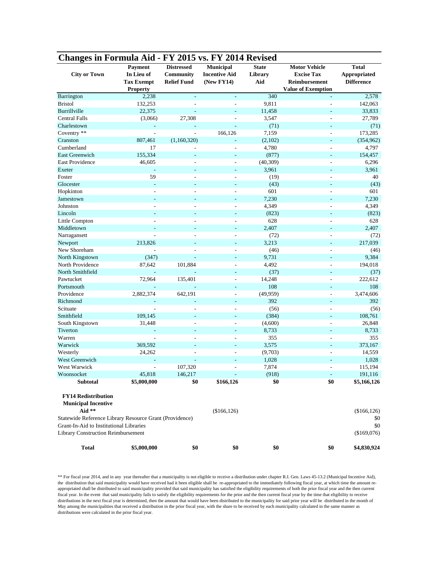| <b>Changes in Formula Aid - FY 2015 vs. FY 2014 Revised</b> |                          |                                |                                   |                         |                                           |                                     |
|-------------------------------------------------------------|--------------------------|--------------------------------|-----------------------------------|-------------------------|-------------------------------------------|-------------------------------------|
| <b>City or Town</b>                                         | Payment<br>In Lieu of    | <b>Distressed</b><br>Community | Municipal<br><b>Incentive Aid</b> | <b>State</b><br>Library | <b>Motor Vehicle</b><br><b>Excise Tax</b> | <b>Total</b><br><b>Appropriated</b> |
|                                                             | <b>Tax Exempt</b>        | <b>Relief Fund</b>             | (New FY14)                        | Aid                     | Reimbursement                             | <b>Difference</b>                   |
|                                                             | <b>Property</b>          |                                |                                   |                         | <b>Value of Exemption</b>                 |                                     |
| Barrington                                                  | 2,238                    |                                |                                   | 340                     |                                           | 2,578                               |
| <b>Bristol</b>                                              | 132,253                  |                                |                                   | 9,811                   |                                           | 142,063                             |
| Burrillville                                                | 22,375                   |                                |                                   | 11,458                  |                                           | 33,833                              |
| <b>Central Falls</b>                                        | (3,066)                  | 27,308                         |                                   | 3,547                   | ÷.                                        | 27,789                              |
| Charlestown                                                 | ÷,                       |                                | ÷,                                | (71)                    | L,                                        | (71)                                |
| Coventry **                                                 | $\overline{\phantom{a}}$ | $\overline{a}$                 | 166,126                           | 7,159                   | L,                                        | 173,285                             |
| Cranston                                                    | 807,461                  | (1,160,320)                    |                                   | (2,102)                 |                                           | (354, 962)                          |
| Cumberland                                                  | 17                       |                                |                                   | 4,780                   |                                           | 4,797                               |
| <b>East Greenwich</b>                                       | 155,334                  |                                |                                   | (877)                   |                                           | 154,457                             |
| <b>East Providence</b>                                      | 46,605                   |                                |                                   | (40, 309)               |                                           | 6,296                               |
| Exeter                                                      |                          |                                |                                   | 3,961                   |                                           | 3,961                               |
| Foster                                                      | 59                       |                                |                                   | (19)                    |                                           | 40                                  |
| Glocester                                                   | $\overline{a}$           |                                | $\overline{\phantom{a}}$          | (43)                    | ÷,                                        | (43)                                |
| Hopkinton                                                   | $\overline{a}$           |                                | L.                                | 601                     | L.                                        | 601                                 |
| Jamestown                                                   | ٠                        |                                |                                   | 7,230                   |                                           | 7,230                               |
| Johnston                                                    | L,                       | ÷,                             | L,                                | 4,349                   |                                           | 4,349                               |
| Lincoln                                                     |                          |                                |                                   | (823)                   |                                           | (823)                               |
| Little Compton                                              |                          |                                |                                   | 628                     |                                           | 628                                 |
| Middletown                                                  |                          |                                |                                   | 2,407                   |                                           | 2,407                               |
| Narragansett                                                |                          |                                |                                   | (72)                    |                                           | (72)                                |
| Newport                                                     | 213,826                  |                                |                                   | 3,213                   |                                           | 217,039                             |
| New Shoreham                                                |                          |                                |                                   | (46)                    | L,                                        | (46)                                |
| North Kingstown                                             | (347)                    |                                |                                   | 9,731                   |                                           | 9,384                               |
| North Providence                                            | 87,642                   | 101,884                        | ÷.                                | 4,492                   | L,                                        | 194,018                             |
| North Smithfield                                            |                          |                                | ÷.                                | (37)                    |                                           | (37)                                |
| Pawtucket                                                   | 72,964                   | 135,401                        | ÷.                                | 14,248                  | L,                                        | 222,612                             |
| Portsmouth                                                  | ÷,                       |                                |                                   | 108                     |                                           | 108                                 |
| Providence                                                  | 2,882,374                | 642,191                        | L,                                | (49, 959)               |                                           | 3,474,606                           |
| Richmond                                                    | $\overline{a}$           |                                |                                   | 392                     | ÷,                                        | 392                                 |
| Scituate                                                    |                          |                                |                                   | (56)                    | L,                                        | (56)                                |
| Smithfield                                                  | 109,145                  |                                |                                   | (384)                   |                                           | 108,761                             |
| South Kingstown                                             | 31,448                   |                                |                                   | (4,600)                 |                                           | 26,848                              |
| Tiverton                                                    | ÷                        |                                | $\overline{\phantom{a}}$          | 8,733                   | ٠                                         | 8,733                               |
| Warren                                                      | ÷,                       |                                | L.                                | 355                     | L.                                        | 355                                 |
| Warwick                                                     | 369,592                  |                                |                                   | 3,575                   |                                           | 373,167                             |
| Westerly                                                    | 24,262                   |                                |                                   | (9,703)                 |                                           | 14,559                              |
| <b>West Greenwich</b>                                       |                          |                                |                                   | 1,028                   |                                           | 1,028                               |
| West Warwick                                                |                          | 107,320                        |                                   | 7,874                   |                                           | 115,194                             |
| Woonsocket                                                  | 45,818                   | 146,217                        |                                   | (918)                   |                                           | 191,116                             |
| <b>Subtotal</b>                                             | \$5,000,000              | \$0                            | \$166,126                         | \$0                     | \$0                                       | \$5,166,126                         |
| <b>FY14 Redistribution</b>                                  |                          |                                |                                   |                         |                                           |                                     |
| <b>Municipal Incentive</b>                                  |                          |                                |                                   |                         |                                           |                                     |
| Aid **                                                      |                          |                                | (\$166, 126)                      |                         |                                           | (\$166, 126)                        |
| Statewide Reference Library Resource Grant (Providence)     |                          |                                |                                   |                         |                                           | \$0                                 |
| Grant-In-Aid to Institutional Libraries                     |                          |                                |                                   |                         |                                           | \$0                                 |
| <b>Library Construction Reimbursement</b>                   |                          |                                |                                   |                         |                                           | (\$169,076)                         |
| <b>Total</b>                                                | \$5,000,000              | \$0                            | \$0                               | \$0                     | \$0                                       | \$4,830,924                         |

\*\* For fiscal year 2014, and in any year thereafter that a municipality is not eligible to receive a distribution under chapter R.I. Gen. Laws 45-13.2 (Municipal Incentive Aid), the distribution that said municipality would have received had it been eligible shall be re-appropriated to the immediately following fiscal year, at which time the amount reappropriated shall be distributed to said municipality provided that said municipality has satisfied the eligibility requirements of both the prior fiscal year and the then current fiscal year. In the event that said municipality fails to satisfy the eligibility requirements for the prior and the then current fiscal year by the time that eligibility to receive distributions in the next fiscal year is determined, then the amount that would have been distributed to the municipality for said prior year will be distributed in the month of May among the municipalities that received a distribution in the prior fiscal year, with the share to be received by each municipality calculated in the same manner as distributions were calculated in the prior fiscal year.